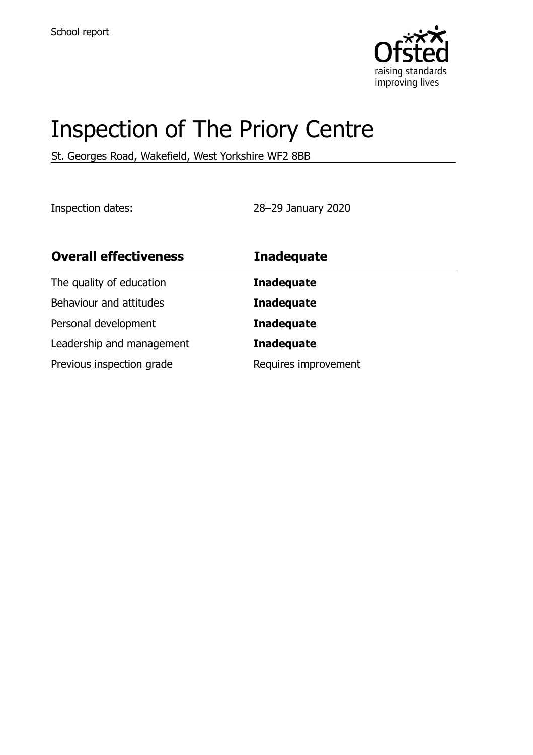

# Inspection of The Priory Centre

St. Georges Road, Wakefield, West Yorkshire WF2 8BB

Inspection dates: 28–29 January 2020

| <b>Overall effectiveness</b> | <b>Inadequate</b>    |
|------------------------------|----------------------|
| The quality of education     | <b>Inadequate</b>    |
| Behaviour and attitudes      | <b>Inadequate</b>    |
| Personal development         | <b>Inadequate</b>    |
| Leadership and management    | <b>Inadequate</b>    |
| Previous inspection grade    | Requires improvement |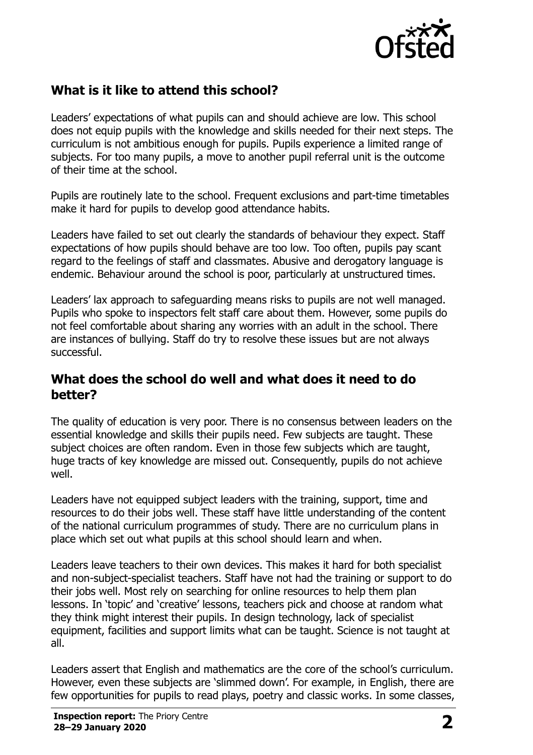

### **What is it like to attend this school?**

Leaders' expectations of what pupils can and should achieve are low. This school does not equip pupils with the knowledge and skills needed for their next steps. The curriculum is not ambitious enough for pupils. Pupils experience a limited range of subjects. For too many pupils, a move to another pupil referral unit is the outcome of their time at the school.

Pupils are routinely late to the school. Frequent exclusions and part-time timetables make it hard for pupils to develop good attendance habits.

Leaders have failed to set out clearly the standards of behaviour they expect. Staff expectations of how pupils should behave are too low. Too often, pupils pay scant regard to the feelings of staff and classmates. Abusive and derogatory language is endemic. Behaviour around the school is poor, particularly at unstructured times.

Leaders' lax approach to safeguarding means risks to pupils are not well managed. Pupils who spoke to inspectors felt staff care about them. However, some pupils do not feel comfortable about sharing any worries with an adult in the school. There are instances of bullying. Staff do try to resolve these issues but are not always successful.

#### **What does the school do well and what does it need to do better?**

The quality of education is very poor. There is no consensus between leaders on the essential knowledge and skills their pupils need. Few subjects are taught. These subject choices are often random. Even in those few subjects which are taught, huge tracts of key knowledge are missed out. Consequently, pupils do not achieve well.

Leaders have not equipped subject leaders with the training, support, time and resources to do their jobs well. These staff have little understanding of the content of the national curriculum programmes of study. There are no curriculum plans in place which set out what pupils at this school should learn and when.

Leaders leave teachers to their own devices. This makes it hard for both specialist and non-subject-specialist teachers. Staff have not had the training or support to do their jobs well. Most rely on searching for online resources to help them plan lessons. In 'topic' and 'creative' lessons, teachers pick and choose at random what they think might interest their pupils. In design technology, lack of specialist equipment, facilities and support limits what can be taught. Science is not taught at all.

Leaders assert that English and mathematics are the core of the school's curriculum. However, even these subjects are 'slimmed down'. For example, in English, there are few opportunities for pupils to read plays, poetry and classic works. In some classes,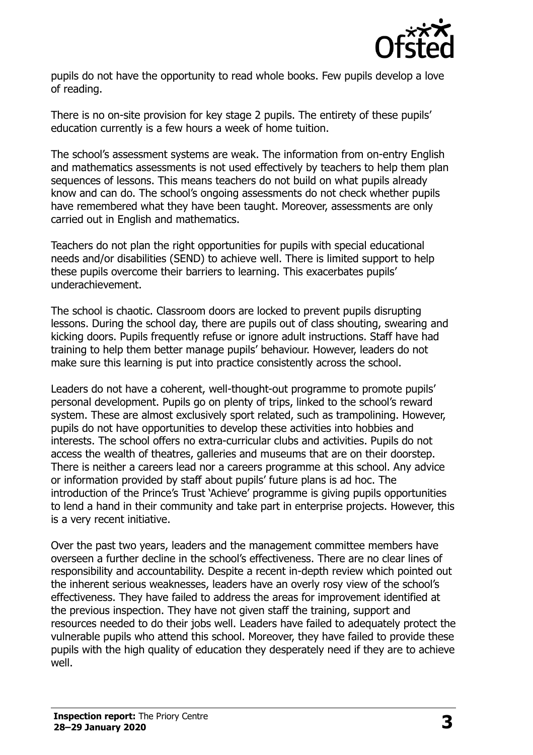

pupils do not have the opportunity to read whole books. Few pupils develop a love of reading.

There is no on-site provision for key stage 2 pupils. The entirety of these pupils' education currently is a few hours a week of home tuition.

The school's assessment systems are weak. The information from on-entry English and mathematics assessments is not used effectively by teachers to help them plan sequences of lessons. This means teachers do not build on what pupils already know and can do. The school's ongoing assessments do not check whether pupils have remembered what they have been taught. Moreover, assessments are only carried out in English and mathematics.

Teachers do not plan the right opportunities for pupils with special educational needs and/or disabilities (SEND) to achieve well. There is limited support to help these pupils overcome their barriers to learning. This exacerbates pupils' underachievement.

The school is chaotic. Classroom doors are locked to prevent pupils disrupting lessons. During the school day, there are pupils out of class shouting, swearing and kicking doors. Pupils frequently refuse or ignore adult instructions. Staff have had training to help them better manage pupils' behaviour. However, leaders do not make sure this learning is put into practice consistently across the school.

Leaders do not have a coherent, well-thought-out programme to promote pupils' personal development. Pupils go on plenty of trips, linked to the school's reward system. These are almost exclusively sport related, such as trampolining. However, pupils do not have opportunities to develop these activities into hobbies and interests. The school offers no extra-curricular clubs and activities. Pupils do not access the wealth of theatres, galleries and museums that are on their doorstep. There is neither a careers lead nor a careers programme at this school. Any advice or information provided by staff about pupils' future plans is ad hoc. The introduction of the Prince's Trust 'Achieve' programme is giving pupils opportunities to lend a hand in their community and take part in enterprise projects. However, this is a very recent initiative.

Over the past two years, leaders and the management committee members have overseen a further decline in the school's effectiveness. There are no clear lines of responsibility and accountability. Despite a recent in-depth review which pointed out the inherent serious weaknesses, leaders have an overly rosy view of the school's effectiveness. They have failed to address the areas for improvement identified at the previous inspection. They have not given staff the training, support and resources needed to do their jobs well. Leaders have failed to adequately protect the vulnerable pupils who attend this school. Moreover, they have failed to provide these pupils with the high quality of education they desperately need if they are to achieve well.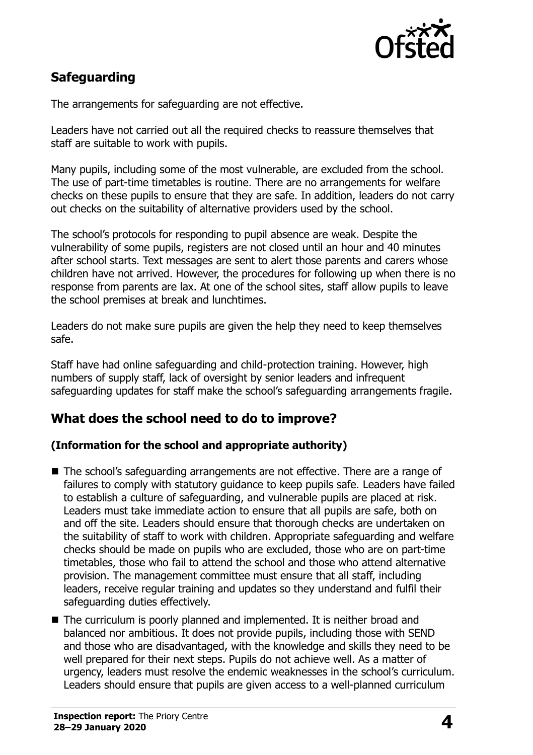

## **Safeguarding**

The arrangements for safeguarding are not effective.

Leaders have not carried out all the required checks to reassure themselves that staff are suitable to work with pupils.

Many pupils, including some of the most vulnerable, are excluded from the school. The use of part-time timetables is routine. There are no arrangements for welfare checks on these pupils to ensure that they are safe. In addition, leaders do not carry out checks on the suitability of alternative providers used by the school.

The school's protocols for responding to pupil absence are weak. Despite the vulnerability of some pupils, registers are not closed until an hour and 40 minutes after school starts. Text messages are sent to alert those parents and carers whose children have not arrived. However, the procedures for following up when there is no response from parents are lax. At one of the school sites, staff allow pupils to leave the school premises at break and lunchtimes.

Leaders do not make sure pupils are given the help they need to keep themselves safe.

Staff have had online safeguarding and child-protection training. However, high numbers of supply staff, lack of oversight by senior leaders and infrequent safeguarding updates for staff make the school's safeguarding arrangements fragile.

#### **What does the school need to do to improve?**

#### **(Information for the school and appropriate authority)**

- The school's safeguarding arrangements are not effective. There are a range of failures to comply with statutory guidance to keep pupils safe. Leaders have failed to establish a culture of safeguarding, and vulnerable pupils are placed at risk. Leaders must take immediate action to ensure that all pupils are safe, both on and off the site. Leaders should ensure that thorough checks are undertaken on the suitability of staff to work with children. Appropriate safeguarding and welfare checks should be made on pupils who are excluded, those who are on part-time timetables, those who fail to attend the school and those who attend alternative provision. The management committee must ensure that all staff, including leaders, receive regular training and updates so they understand and fulfil their safeguarding duties effectively.
- The curriculum is poorly planned and implemented. It is neither broad and balanced nor ambitious. It does not provide pupils, including those with SEND and those who are disadvantaged, with the knowledge and skills they need to be well prepared for their next steps. Pupils do not achieve well. As a matter of urgency, leaders must resolve the endemic weaknesses in the school's curriculum. Leaders should ensure that pupils are given access to a well-planned curriculum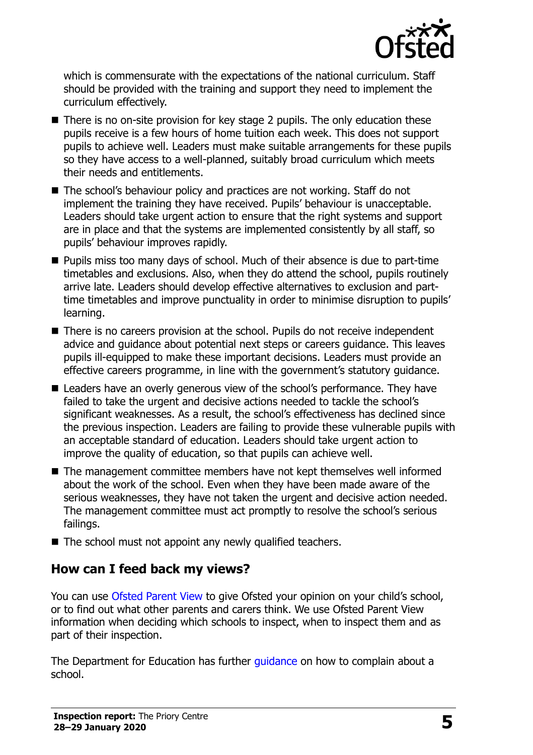

which is commensurate with the expectations of the national curriculum. Staff should be provided with the training and support they need to implement the curriculum effectively.

- There is no on-site provision for key stage 2 pupils. The only education these pupils receive is a few hours of home tuition each week. This does not support pupils to achieve well. Leaders must make suitable arrangements for these pupils so they have access to a well-planned, suitably broad curriculum which meets their needs and entitlements.
- The school's behaviour policy and practices are not working. Staff do not implement the training they have received. Pupils' behaviour is unacceptable. Leaders should take urgent action to ensure that the right systems and support are in place and that the systems are implemented consistently by all staff, so pupils' behaviour improves rapidly.
- **Pupils miss too many days of school. Much of their absence is due to part-time** timetables and exclusions. Also, when they do attend the school, pupils routinely arrive late. Leaders should develop effective alternatives to exclusion and parttime timetables and improve punctuality in order to minimise disruption to pupils' learning.
- There is no careers provision at the school. Pupils do not receive independent advice and guidance about potential next steps or careers guidance. This leaves pupils ill-equipped to make these important decisions. Leaders must provide an effective careers programme, in line with the government's statutory guidance.
- Leaders have an overly generous view of the school's performance. They have failed to take the urgent and decisive actions needed to tackle the school's significant weaknesses. As a result, the school's effectiveness has declined since the previous inspection. Leaders are failing to provide these vulnerable pupils with an acceptable standard of education. Leaders should take urgent action to improve the quality of education, so that pupils can achieve well.
- The management committee members have not kept themselves well informed about the work of the school. Even when they have been made aware of the serious weaknesses, they have not taken the urgent and decisive action needed. The management committee must act promptly to resolve the school's serious failings.
- The school must not appoint any newly qualified teachers.

# **How can I feed back my views?**

You can use [Ofsted Parent View](http://parentview.ofsted.gov.uk/) to give Ofsted your opinion on your child's school, or to find out what other parents and carers think. We use Ofsted Parent View information when deciding which schools to inspect, when to inspect them and as part of their inspection.

The Department for Education has further quidance on how to complain about a school.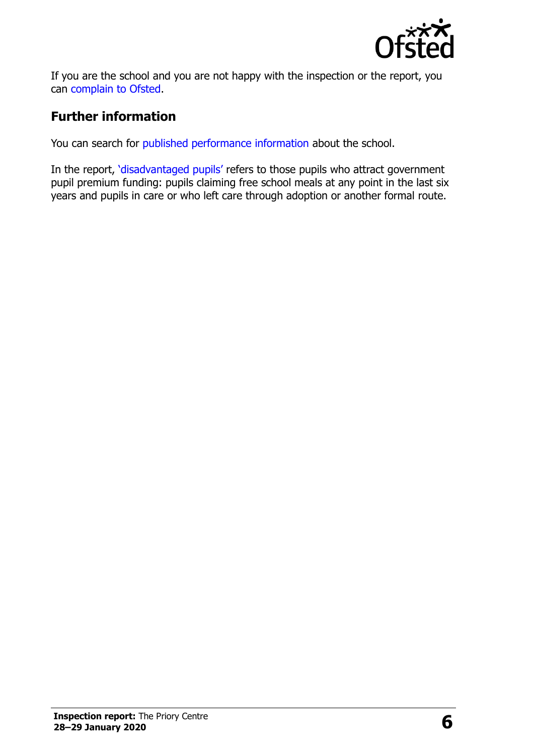

If you are the school and you are not happy with the inspection or the report, you can [complain to Ofsted.](http://www.gov.uk/complain-ofsted-report)

## **Further information**

You can search for [published performance information](http://www.compare-school-performance.service.gov.uk/) about the school.

In the report, '[disadvantaged pupils](http://www.gov.uk/guidance/pupil-premium-information-for-schools-and-alternative-provision-settings)' refers to those pupils who attract government pupil premium funding: pupils claiming free school meals at any point in the last six years and pupils in care or who left care through adoption or another formal route.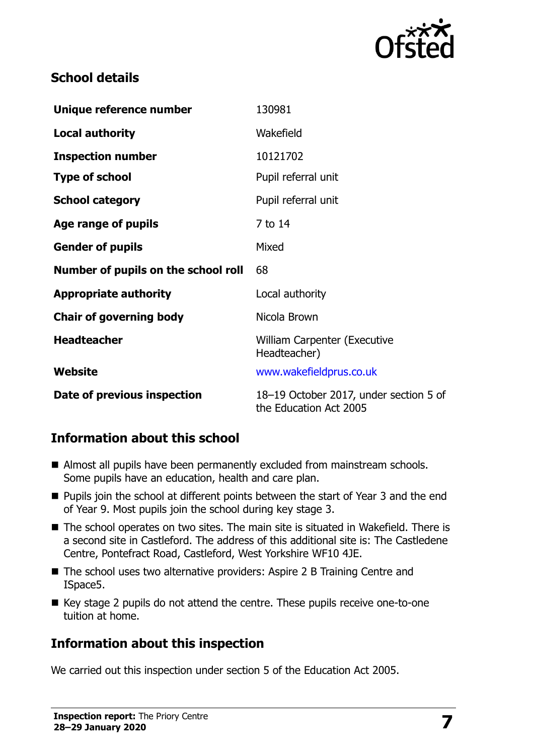

#### **School details**

| Unique reference number             | 130981                                                           |
|-------------------------------------|------------------------------------------------------------------|
| <b>Local authority</b>              | Wakefield                                                        |
| <b>Inspection number</b>            | 10121702                                                         |
| <b>Type of school</b>               | Pupil referral unit                                              |
| <b>School category</b>              | Pupil referral unit                                              |
| Age range of pupils                 | 7 to 14                                                          |
| <b>Gender of pupils</b>             | Mixed                                                            |
| Number of pupils on the school roll | 68                                                               |
| <b>Appropriate authority</b>        | Local authority                                                  |
| <b>Chair of governing body</b>      | Nicola Brown                                                     |
| <b>Headteacher</b>                  | <b>William Carpenter (Executive</b><br>Headteacher)              |
| Website                             | www.wakefieldprus.co.uk                                          |
| Date of previous inspection         | 18-19 October 2017, under section 5 of<br>the Education Act 2005 |

#### **Information about this school**

- Almost all pupils have been permanently excluded from mainstream schools. Some pupils have an education, health and care plan.
- **Pupils join the school at different points between the start of Year 3 and the end** of Year 9. Most pupils join the school during key stage 3.
- The school operates on two sites. The main site is situated in Wakefield. There is a second site in Castleford. The address of this additional site is: The Castledene Centre, Pontefract Road, Castleford, West Yorkshire WF10 4JE.
- The school uses two alternative providers: Aspire 2 B Training Centre and ISpace5.
- Key stage 2 pupils do not attend the centre. These pupils receive one-to-one tuition at home.

## **Information about this inspection**

We carried out this inspection under section 5 of the Education Act 2005.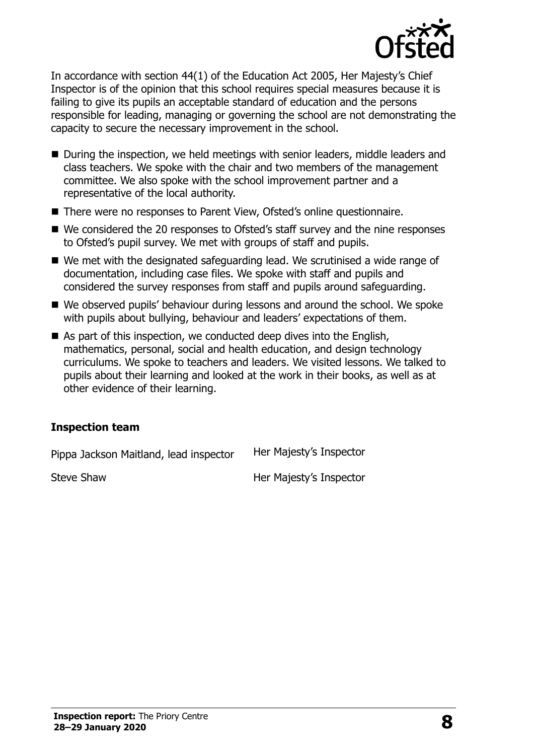

In accordance with section 44(1) of the Education Act 2005, Her Majesty's Chief Inspector is of the opinion that this school requires special measures because it is failing to give its pupils an acceptable standard of education and the persons responsible for leading, managing or governing the school are not demonstrating the capacity to secure the necessary improvement in the school.

- During the inspection, we held meetings with senior leaders, middle leaders and class teachers. We spoke with the chair and two members of the management committee. We also spoke with the school improvement partner and a representative of the local authority.
- There were no responses to Parent View, Ofsted's online questionnaire.
- We considered the 20 responses to Ofsted's staff survey and the nine responses to Ofsted's pupil survey. We met with groups of staff and pupils.
- We met with the designated safeguarding lead. We scrutinised a wide range of documentation, including case files. We spoke with staff and pupils and considered the survey responses from staff and pupils around safeguarding.
- We observed pupils' behaviour during lessons and around the school. We spoke with pupils about bullying, behaviour and leaders' expectations of them.
- As part of this inspection, we conducted deep dives into the English, mathematics, personal, social and health education, and design technology curriculums. We spoke to teachers and leaders. We visited lessons. We talked to pupils about their learning and looked at the work in their books, as well as at other evidence of their learning.

#### **Inspection team**

Pippa Jackson Maitland, lead inspector Her Majesty's Inspector

Steve Shaw **Her Majesty's Inspector**